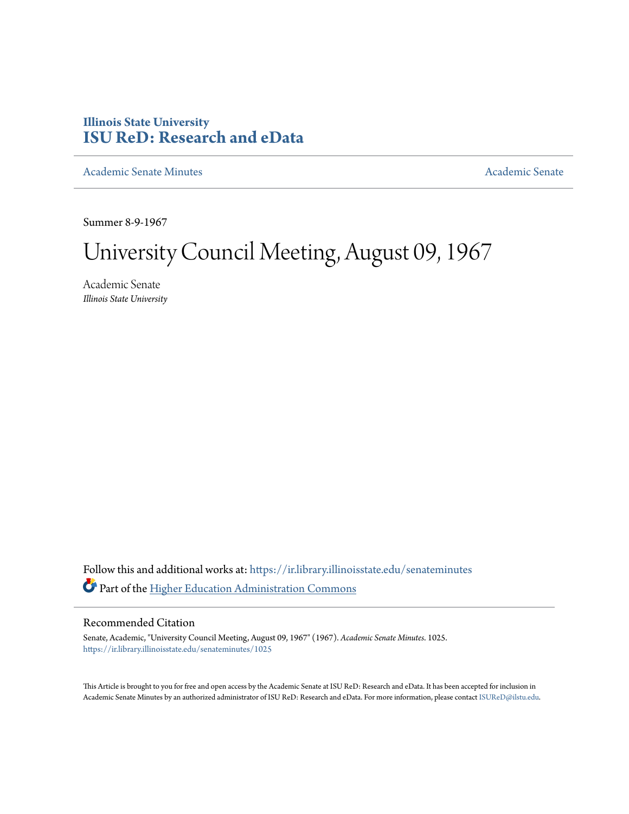# **Illinois State University [ISU ReD: Research and eData](https://ir.library.illinoisstate.edu?utm_source=ir.library.illinoisstate.edu%2Fsenateminutes%2F1025&utm_medium=PDF&utm_campaign=PDFCoverPages)**

[Academic Senate Minutes](https://ir.library.illinoisstate.edu/senateminutes?utm_source=ir.library.illinoisstate.edu%2Fsenateminutes%2F1025&utm_medium=PDF&utm_campaign=PDFCoverPages) [Academic Senate](https://ir.library.illinoisstate.edu/senate?utm_source=ir.library.illinoisstate.edu%2Fsenateminutes%2F1025&utm_medium=PDF&utm_campaign=PDFCoverPages) Academic Senate

Summer 8-9-1967

# University Council Meeting, August 09, 1967

Academic Senate *Illinois State University*

Follow this and additional works at: [https://ir.library.illinoisstate.edu/senateminutes](https://ir.library.illinoisstate.edu/senateminutes?utm_source=ir.library.illinoisstate.edu%2Fsenateminutes%2F1025&utm_medium=PDF&utm_campaign=PDFCoverPages) Part of the [Higher Education Administration Commons](http://network.bepress.com/hgg/discipline/791?utm_source=ir.library.illinoisstate.edu%2Fsenateminutes%2F1025&utm_medium=PDF&utm_campaign=PDFCoverPages)

# Recommended Citation

Senate, Academic, "University Council Meeting, August 09, 1967" (1967). *Academic Senate Minutes*. 1025. [https://ir.library.illinoisstate.edu/senateminutes/1025](https://ir.library.illinoisstate.edu/senateminutes/1025?utm_source=ir.library.illinoisstate.edu%2Fsenateminutes%2F1025&utm_medium=PDF&utm_campaign=PDFCoverPages)

This Article is brought to you for free and open access by the Academic Senate at ISU ReD: Research and eData. It has been accepted for inclusion in Academic Senate Minutes by an authorized administrator of ISU ReD: Research and eData. For more information, please contact [ISUReD@ilstu.edu.](mailto:ISUReD@ilstu.edu)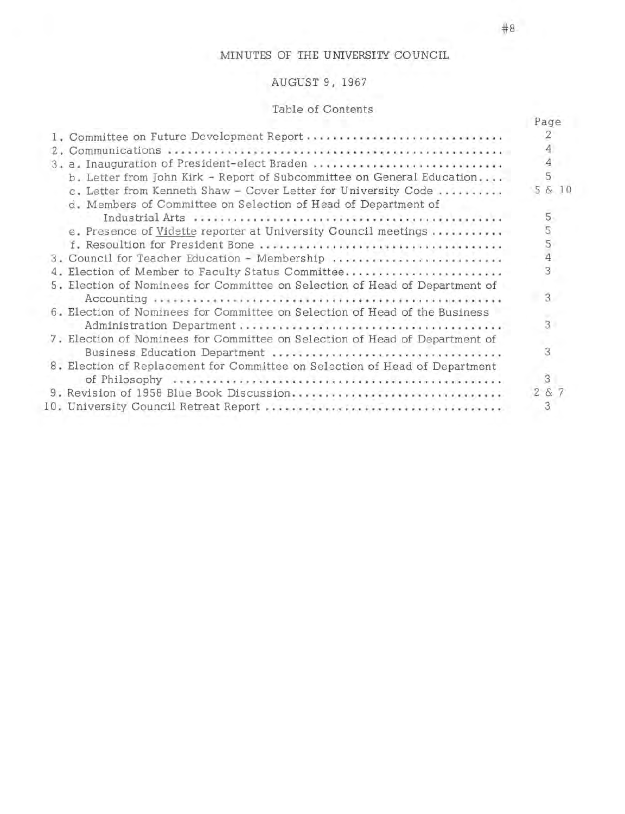# MINUTES OF THE UNIVERSITY COUNCIL

# AUGUST 9, 1967

# Table of Contents

|       |                                                                                                                                 | Page           |
|-------|---------------------------------------------------------------------------------------------------------------------------------|----------------|
|       | 1. Committee on Future Development Report                                                                                       | 2              |
| $Z =$ |                                                                                                                                 |                |
|       | 3. a. Inauguration of President-elect Braden                                                                                    | 4              |
|       | b. Letter from John Kirk - Report of Subcommittee on General Education                                                          | 5              |
|       | c. Letter from Kenneth Shaw - Cover Letter for University Code<br>d. Members of Committee on Selection of Head of Department of | 5 & 10         |
|       |                                                                                                                                 | 5              |
|       | e. Presence of Vidette reporter at University Council meetings                                                                  |                |
|       |                                                                                                                                 | 554            |
|       | 3. Council for Teacher Education - Membership                                                                                   |                |
|       | 4. Election of Member to Faculty Status Committee                                                                               | 3              |
|       | 5. Election of Nominees for Committee on Selection of Head of Department of                                                     |                |
|       |                                                                                                                                 | $\overline{3}$ |
|       | 6. Election of Nominees for Committee on Selection of Head of the Business                                                      |                |
|       |                                                                                                                                 | 3              |
|       | 7. Election of Nominees for Committee on Selection of Head of Department of                                                     |                |
|       |                                                                                                                                 | 3              |
|       | 8. Election of Replacement for Committee on Selection of Head of Department                                                     |                |
|       |                                                                                                                                 | 3              |
|       | 9. Revision of 1958 Blue Book Discussion                                                                                        | 2 & 7          |
|       |                                                                                                                                 | 3              |
|       |                                                                                                                                 |                |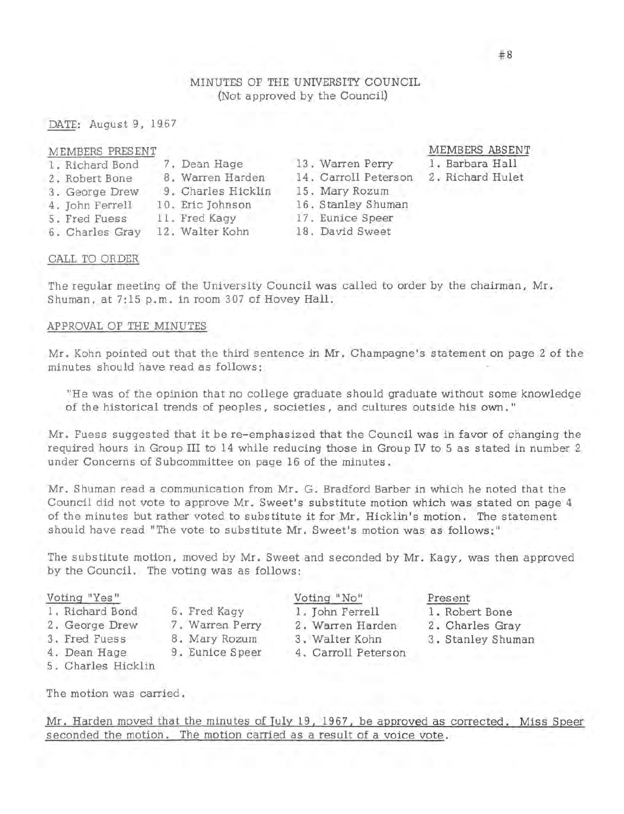# MINUTES OF THE UNIVERSITY COUNCIL (Not approved by the Council)

DATE: August 9, 1967

| MEMBERS PRESENT |  |
|-----------------|--|
|-----------------|--|

|  | 1. Richard Bond |  |  |
|--|-----------------|--|--|
|--|-----------------|--|--|

- 2. Robert Bone 8. Warren Harden<br>3. George Drew 9. Charles Hicklin
- 3. George Drew
	-
- 4. John Ferrell 10. Eric Johnson
- 5. Fred Fuess 11. Fred Kagy<br>6. Charles Gray 12. Walter Koh
- 
- 
- 

15. Mary Rozum

7. Dean Hage 13. Warren Perry

- 
- 12. Walter Kohn 18. David Sweet

# MEMBERS ABSENT

1. Barbara Hall

- 2. Richard Hulet
- 16. Stanley Shuman 17. Eunice Speer

14. Carroll Peterson

# CALL TO ORDER

The regular meeting of the University Council was called to order by the chairman, Mr. Shuman, at 7:15 p.m. in room 307 of Hovey Hall.

### APPROVAL OF THE MINUTES

Mr. Kohn pointed out that the third sentence **in Mr.** Champagne's statement on page 2 of the minutes should have read as follows:

"He was of the opinion that no college graduate should graduate without some knowledge of the historical trends of peoples, societies, and cultures outside his **own."** 

Mr. Fuess suggested that it be re-emphasized that the Council was in favor of changing the required hours in Group III to 14 while reducing those in Group IV to 5 as stated in number 2 under Concerns of Subcommittee on page 16 of the minutes.

Mr. Shuman read a communication from Mr. G. Bradford Barber in which he noted that the Council did not vote to approve Mr. Sweet's substitute motion which was stated on page 4 of the minutes but rather voted to substitute it for Mr. Hicklin's motion. The statement should have read "The vote to substitute Mr. Sweet's motion was as follows:"

The substitute motion, moved by Mr. Sweet and seconded by Mr. Kagy, was then approved by the Council. The voting was as follows:

#### Voting "Yes"

- 1. Richard Bond
- 2 . George Drew
- 3 . Fred Fuess
- 7. Warren Perry 8. Mary Rozum

6. Fred Kagy

- 9 . Eunice Speer
- 4. Dean Hage
- 5. Charles Hicklin

The motion was carried.

Mr. Harden moved that the minutes of July 19, 1967, be approved as corrected. Miss Speer seconded the motion. The motion carried as a result of a voice vote.

- Voting "No" 1. John Ferrell
- 2 . Warren Harden
- 3 . Walter Kohn
- 4. Carroll Peterson
- Present
- 1 . Robert Bone
- 2. Charles Gray
- 3. Stanley Shuman
-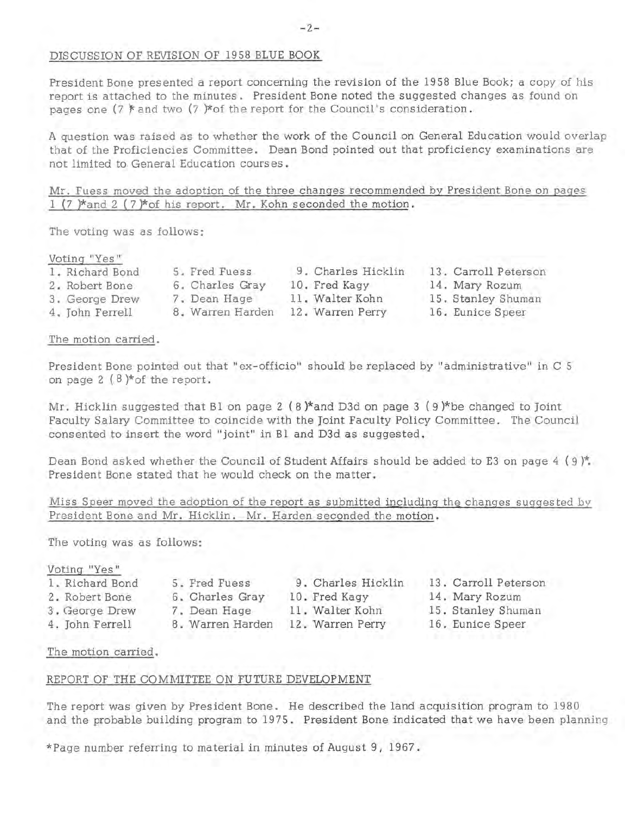# DISCUSSION OF REVISION OF 1958 BLUE BOOK

President Bone presented a report concerning the revision of the 1958 Blue Book; a copy of his report is attached to the minutes. President Bone noted the suggested changes as found on pages one (7  $*$  and two (7  $*$  of the report for the Council's consideration.

A question was raised as to whether the work of the Council on General Education would overlap that of the Proficiencies Committee. Dean Bond pointed out that proficiency examinations are not limited to General Education courses.

Mr. Fuess moved the adoption of the three changes recommended by President Bone on pages 1 (7 )\*and 2 (7 )\* of his report. Mr. Kohn seconded the motion.

The voting was as follows:

## Voting "Yes "

| 1. Richard Bond | 5. Fred Fuess    | 9. Charles Hicklin | 13. Carroll Peterson |
|-----------------|------------------|--------------------|----------------------|
| 2. Robert Bone  | 6. Charles Gray  | 10. Fred Kagy      | 14. Mary Rozum       |
| 3. George Drew  | 7. Dean Hage     | 11. Walter Kohn    | 15. Stanley Shuman   |
| 4. John Ferrell | 8. Warren Harden | 12. Warren Perry   | 16. Eunice Speer     |

The motion carried.

President Bone pointed out that "ex-officio" should be replaced by "administrative" in C 5 on page 2  $(8)$ \*of the report.

Mr. Hicklin suggested that B1 on page 2  $(8)$ \*and D3d on page 3  $(9)$ \*be changed to Joint Faculty Salary Committee to coincide with the Joint Faculty Policy Committee. The Council consented to insert the word "joint" in Bl and D3d as suggested.

Dean Bond asked whether the Council of Student Affairs should be added to E3 on page  $4$  (9)\*. President Bone stated that he would check on the matter.

|                                                                 | Miss Speer moved the adoption of the report as submitted including the changes suggested by |
|-----------------------------------------------------------------|---------------------------------------------------------------------------------------------|
| President Bone and Mr. Hicklin. Mr. Harden seconded the motion. |                                                                                             |

The voting was as follows:

# Voting "Yes"

- 1. Richard Bond 5. Fred Fuess
- 2. Robert Bone 6. Charles Gray
- 3. George Drew 7. Dean Hage
- 4. John Ferrell 8. Warren Harden

9. Charles Hicklin 13. Carroll Peterson 10. Fred Kagy 11 . Walter Kohn 12. Warren Perry

- 14. Mary Rozum
	- 15. Stanley Shuman
	- 16. Eunice Speer

The motion carried.

#### REPORT OF THE COMMITTEE ON FUTURE DEVELOPMENT

The report was given by President Bone. He described the land acquisition program to 1980 and the probable building program to 1975. President Bone indicated that we have been planning

\*Page number referring to material in minutes of August 9, 1967.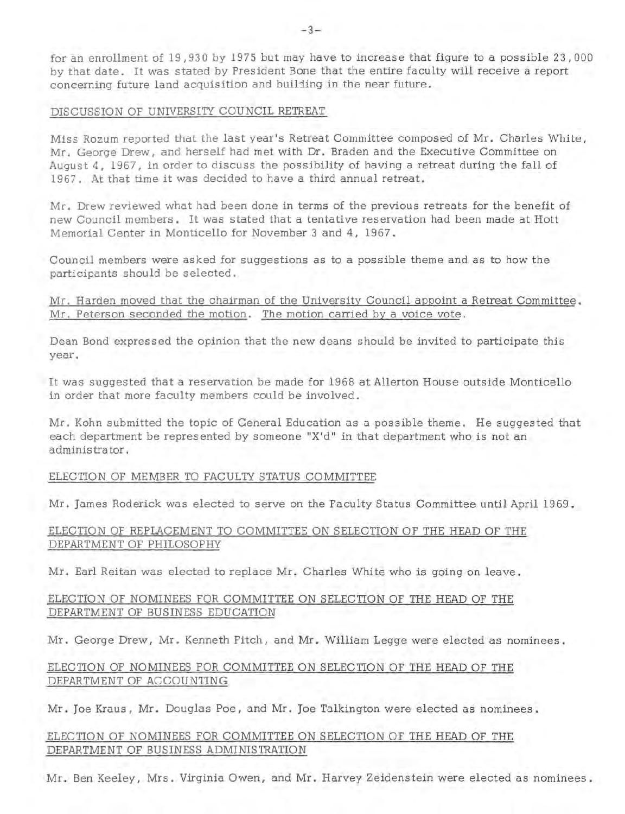for an enrollment of 19,930 by 1975 but may have to increase that figure to a possible 23,000 by that date. It was stated by President Bone that the entire faculty will receive a report concerning future land acquisition and building in the near future.

## DISCUSSION OF UNIVERSITY COUNCIL RETREAT

Miss Rozum reported that the last year's Retreat Committee composed of Mr. Charles White, Mr. George Drew, and herself had met with Dr. Braden and the Executive Committee on August 4, 1967, in order to discuss the possibility of having a retreat during the fall of 1967. At that time it was decided to have a third annual retreat.

Mr. Drew reviewed what had been done in terms of the previous retreats for the benefit of new Council members. It was stated that a tentative reservation had been made at Hott Memorial Center in Monticello for November 3 and 4, 1967.

Council members were asked for suggestions as to a possible theme and as to how the participants should be selected.

Mr. Harden moved that the chairman of the University Council appoint a Retreat Committee. Mr. Peterson seconded the motion. The motion carried by a voice vote.

Dean Bond expressed the opinion that the new deans should be invited to participate this year.

It was suggested that a reservation be made for 1968 at Allerton House outside Monticello in order that more faculty members could be involved.

Mr. Kohn submitted the topic of General Education as a possible theme. He suggested that each department be represented by someone "X'd" in that department who is not an administrator.

## ELECTION OF MEMBER TO FACULTY STATUS COMMITTEE

Mr. James Roderick was elected to serve on the Faculty Status Committee until April 1969.

# ELECTION OF REPLACEMENT TO COMMITTEE ON SELECTION OF THE HEAD OF THE DEPARTMENT OF PHILOSOPHY

Mr. Earl Reitan was elected to replace Mr. Charles White who is going on leave.

# ELECTION OF NOMINEES FOR COMMITTEE ON SELECTION OF THE HEAD OF THE DEPARTMENT OF BUSINESS EDUCATION

Mr. George Drew, Mr. Kenneth Fitch, and Mr. William Legge were elected as nominees.

# ELECTION OF NOMINEES FOR COMMITTEE ON SELECTION OF THE HEAD OF THE DEPARTMENT OF ACCOUNTING

Mr. Joe Kraus, Mr. Douglas Poe, and Mr. Joe Talkington were elected as nominees.

# ELECTION OF NOMINEES FOR COMMITTEE ON SELECTION OF THE HEAD OF THE DEPARTMENT OF BUSINESS ADMINISTRATION

Mr. Ben Keeley, Mrs. Virginia Owen, and Mr. Harvey Zeidenstein were elected as nominees.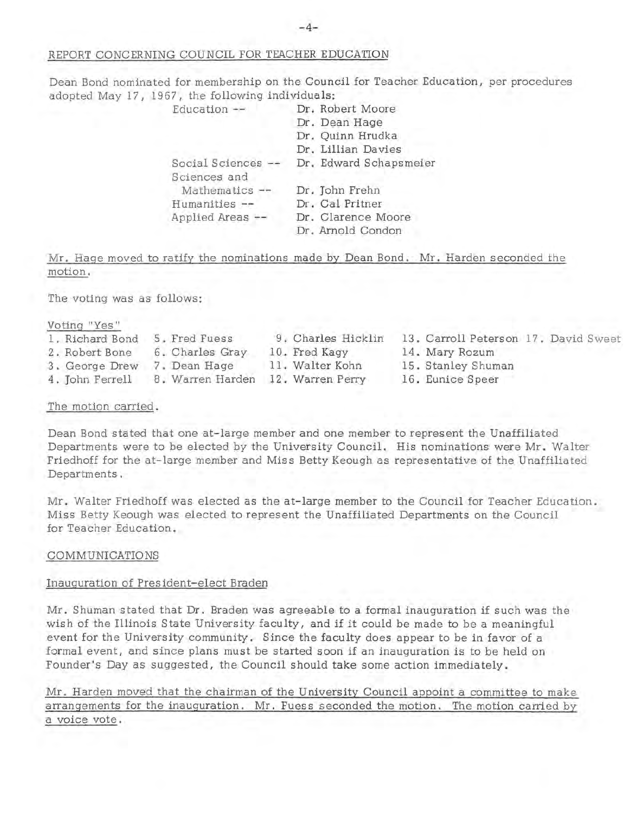# REPORT CONCERNING COUNCIL FOR TEACHER EDUCATION

Dean Bond nominated for membership on the Council for Teacher Education, per procedures adopted May 17, 1967, the following individuals:

| Education $--$   | Dr. Robert Moore       |
|------------------|------------------------|
|                  | Dr. Dean Hage          |
|                  | Dr. Quinn Hrudka       |
|                  | Dr. Lillian Davies     |
| Social Sciences  | Dr. Edward Schapsmeier |
| Sciences and     |                        |
| Mathematics --   | Dr. John Frehn         |
| Humanities --    | Dr. Cal Pritner        |
| Applied Areas -- | Dr. Clarence Moore     |
|                  | Dr. Arnold Condon      |

Mr. Hage moved to ratify the nominations made by Dean Bond. Mr. Harden seconded the motion.

The voting was as follows:

Voting "Yes"

- 1. Richard Bond 5. Fred Fuess 2. Robert Bone 6. Charles Gray
- 3. George Drew 7. Dean Hage
- 
- 4. John Ferrell 8. Warren Harden 12. Warren Perry
- 9. Charles Hicklin 10. Fred Kagy

11. Walter Kohn

- 13. Carroll Peterson 17. David Sweet 14. Mary Rozum
- 15 . Stanley Shuman
- 16. Eunice Speer

The motion carried.

Dean Bond stated that one at-large member and one member to represent the Unaffiliated Departments were to be elected by the University Council. His nominations were Mr. Walter Friedhoff for the at-large member and Miss Betty Keough as representative of the Unaffiliated Departments.

Mr. Walter Friedhoff was elected as the at-large member to the Council for Teacher Education. Miss Betty Keough was elected to represent the Unaffiliated Departments on the Council for Teacher Education.

# COMMUNICATIONS

# Inauguration of President-elect Braden

Mr. Shuman stated that Dr. Braden was agreeable to a formal inauguration if such was the wish of the Illinois State University faculty, and if it could be made to be a meaningful event for the University community. Since the faculty does appear to be in favor of a formal event, and since plans must be started soon if an inauguration is to be held on Founder's Day as suggested, the Council should take some action immediately.

Mr. Harden moved that the chairman of the University Council appoint a committee to make arrangements for the inauguration. Mr. Fuess seconded the motion. The motion carried by a voice vote.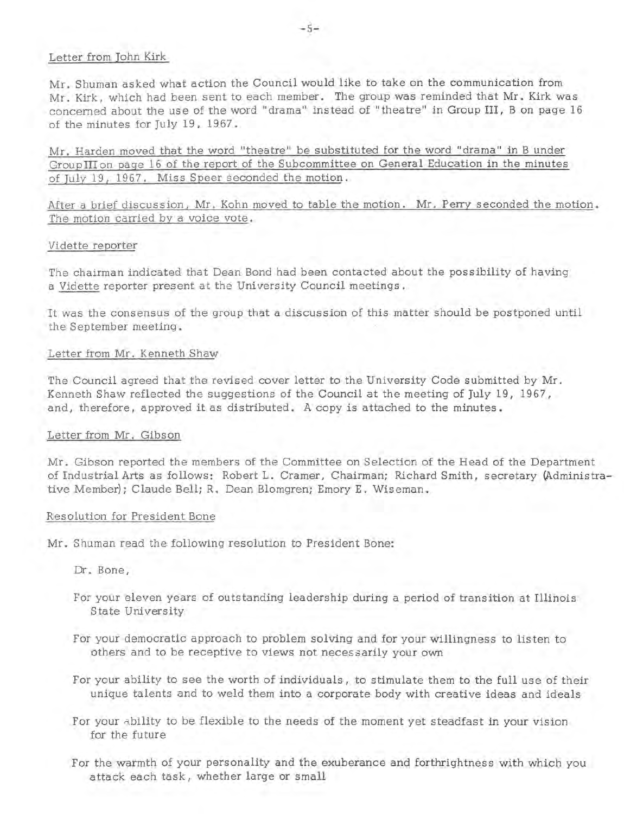## Letter from John Kirk

Mr. Shuman asked what action the Council would like to take on the communication from Mr. Kirk, which had been sent to each member. The group was reminded that Mr. Kirk was concerned about the use of the word "drama" instead of "theatre" in Group III, B on page 16 of the minutes for July 19, 1967.

Mr. Harden moved that the word "theatre" be substituted for the word "drama" in B under GroupIIIon page 16 of the report of the Subcommittee on General Education in the minutes of July 19, 1967. Miss Speer seconded the motion.

After a brief discussion, Mr. Kohn moved to table the motion. Mr. Perry seconded the motion. The motion carried by a voice vote.

#### Vidette reporter

The chairman indicated that Dean Bond had been contacted about the possibility of having a Vidette reporter present at the University Council meetings.

It was the consensus of the group that a discussion of this matter should be postponed until the September meeting.

### Letter from Mr. Kenneth Shaw

The Council agreed that the revised cover letter to the University Code submitted by Mr. Kenneth Shaw reflected the suggestions of the Council at the meeting of July 19, 1967, and, therefore, approved it as distributed. A copy is attached to the minutes.

#### Letter from Mr. Gibson

Mr. Gibson reported the members of the Committee on Selection of the Head of the Department of Industrial Arts as follows: Robert L. Cramer, Chairman; Richard Smith, secretary {Administrative Member); Claude Bell; R. Dean Blomgren; Emory E. Wiseman.

#### Resolution for President Bone

Mr. Shuman read the following resolution to President Bone:

Dr. Bone,

- For your eleven years of outstanding leadership during a period of transition at Illinois State University
- For your democratic approach to problem solving and for your willingness to listen to others and to be receptive to views not necessarily your own
- For your ability to see the worth of individuals, to stimulate them to the full use of their unique talents and to weld them into a corporate body with creative ideas and ideals
- For your ability to be flexible to the needs of the moment yet steadfast in your vision for the future
- For the warmth of your personality and the exuberance and forthrightness with which you attack each task, whether large or small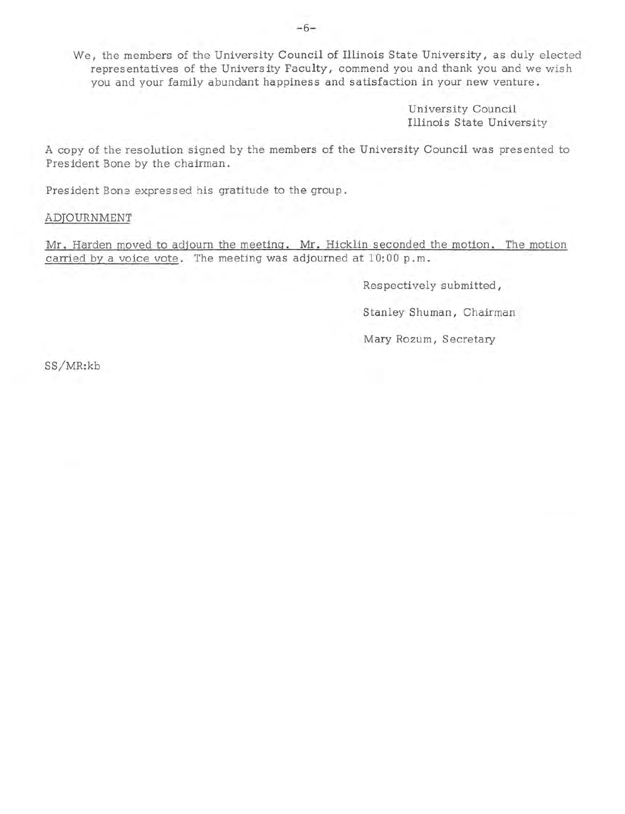We, the members of the University Council of Illinois State University, as duly elected representatives of the University Faculty, commend you and thank you and we wish you and your family abundant happiness and satisfaction in your new venture.

> University Council Illinois State University

A copy of the resolution signed by the members of the University Council was presented to President Bone by the chairman.

President Bone expressed his gratitude to the group.

## ADJOURNMENT

Mr. Harden moved to adjourn the meeting. Mr. Hicklin seconded the motion. The motion carried by a voice vote. The meeting was adjourned at 10: 00 p. m.

Respectively submitted,

Stanley Shuman, Chairman

Mary Rozum, Secretary

SS/MR:kb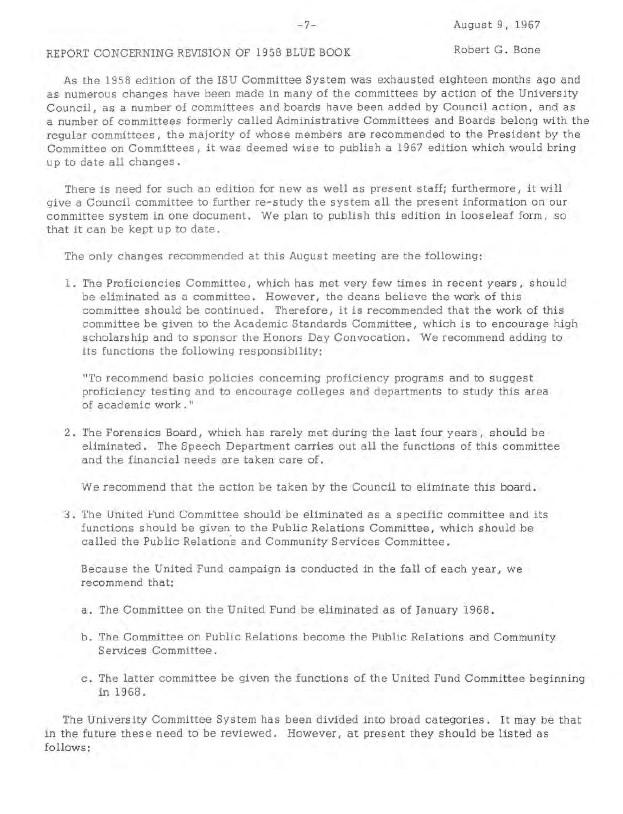# REPORT CONCERNING REVISION OF 1958 BLUE BOOK

As the 1958 edition of the !SU Committee System was exhausted eighteen months ago and as numerous changes have been made in many of the committees by action of the University Council, as a number of committees and boards have been added by Council action, and as a number of committees formerly called Administrative Committees and Boards belong with the regular committees, the majority of whose members are recommended to the President by the Committee on Committees, it was deemed wise to publish a 1967 edition which would bring up to date all changes.

There is need for such an edition for new as well as present staff; furthermore, it will give a Council committee to further re-study the system all the present information on our committee system in one document. We plan to publish this edition in looseleaf form, so that it can be kept up to date.

The only changes recommended at this August meeting are the following:

1. The Proficiencies Committee, which has met very few times in recent years, should be eliminated as a committee. However, the deans believe the work of this committee should be continued. Therefore, it is recommended that the work of this committee be given to the Academic Standards Committee, which is to encourage high scholarship and to sponsor the Honors Day Convocation. We recommend adding to its functions the following responsibility:

"To recommend basic policies concerning proficiency programs and to suggest proficiency testing and to encourage colleges and departments to study this area of academic **work."** 

2. The Forensics Board, which has rarely met during the last four years, should be eliminated. The Speech Department carries out all the functions of this committee and the financial needs are taken care of.

We recommend that the action be taken by the Council to eliminate this board.

3. The United Fund Committee should be eliminated as a specific committee and its functions should be given to the Public Relations Committee, which should be called the Public Relations and Community Services Committee.

Because the United Fund campaign is conducted in the fall of each year, we recommend that:

- a. The Committee on the United Fund be eliminated as of January 1968.
- b. The Committee on Public Relations become the Public Relations and Community Services Committee.
- c. The latter committee be given the functions of the United Fund Committee beginning in 1968.

The University Committee System has been divided into broad categories. It may be that in the future these need to be reviewed. However, at present they should be listed as follows: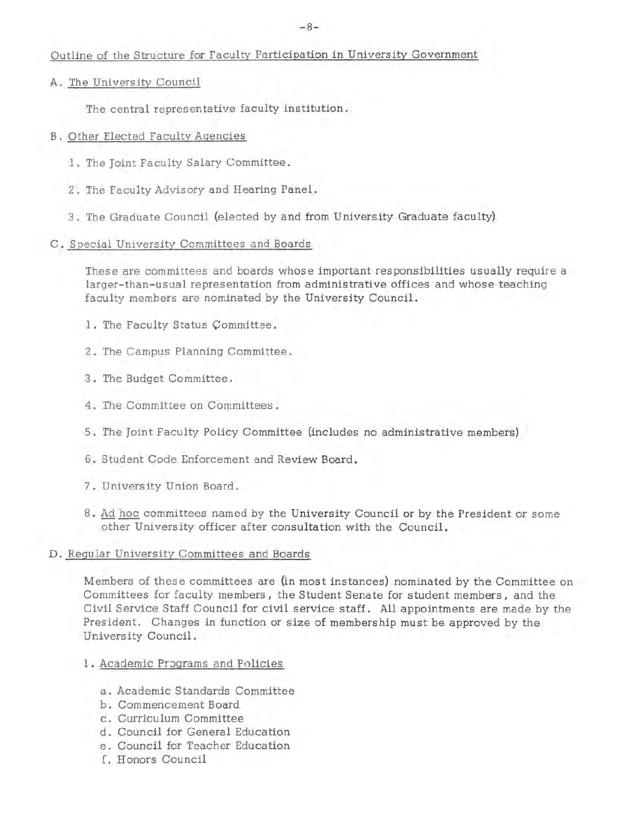# Outline of the Structure for Faculty Participation in University Government

A. The University Council

The central representative faculty institution.

- B. Other Elected Faculty Agencies
	- 1. The Joint Faculty Salary Committee.
	- 2. The Faculty Advisory and Hearing Panel.
	- 3. The Graduate Council (elected by and from University Graduate faculty)
- C. Special University Committees and Boards

These are committees and boards whose important responsibilities usually require a larger-than-usual representation from administrative offices and whose teaching faculty members are nominated by the University Council.

- 1. The Faculty Status Committee.
- 2. The Campus Planning Committee.
- 3. The Budget Committee.
- 4. The Committee on Committees.
- 5. The Joint Faculty Policy Committee (includes no administrative members)
- 6. Student Code Enforcement and Review Board.
- 7. University Union Board.
- 8. Ad hoc committees named by the University Council or by the President or some other University officer after consultation with the Council.

# D. Regular University Committees and Boards

Members of these committees are (in most instances) nominated by the Committee on Committees for faculty members, the Student Senate for student members, and the Civil Service Staff Council for civil service staff. All appointments are made by the President. Changes in function or size of membership must be approved by the University Council.

- 1. Academic Programs and Policies
	- a. Academic Standards Committee
	- b. Commencement Board
	- c. Curriculum Committee
	- d. Council for General Education
	- e. Council for Teacher Education
	- f. Honors Council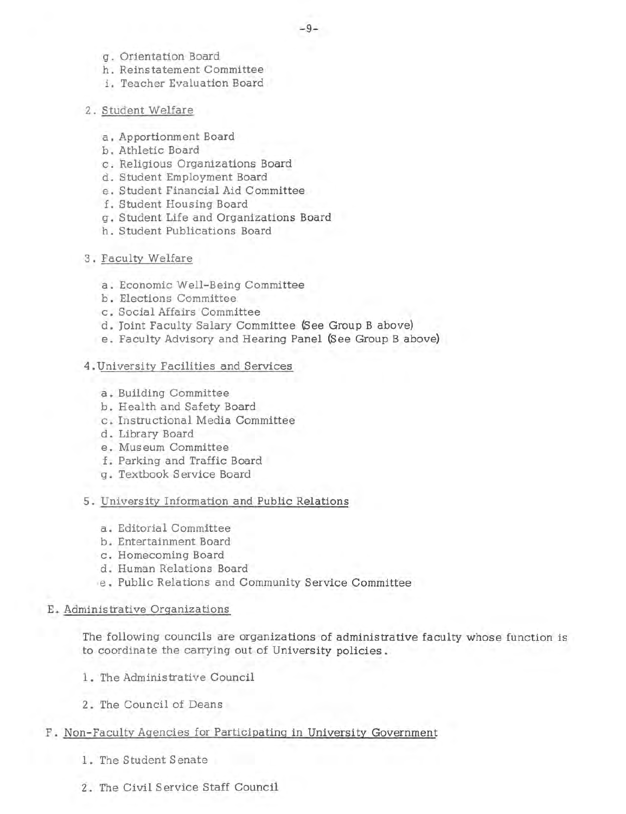- g. Orientation Board
- h. Reinstatement Committee
- i. Teacher Evaluation Board
- 2. Student Welfare
	- a. Apportionment Board
	- b. Athletic Board
	- c. Religious Organizations Board
	- d. Student Employment Board
	- e. Student Financial Aid Committee
	- f. Student Housing Board
	- g. Student Life and Organizations Board
	- h. Student Publications Board
- 3. Faculty Welfare
	- a. Economic Well-Being Committee
	- b. Elections Committee
	- c. Social Affairs Committee
	- d. Joint Faculty Salary Committee (See Group B above)
	- e. Faculty Advisory and Hearing Panel (See Group B above)
- 4. University Facilities and Services
	- a. Building Committee
	- b. Health and Safety Board
	- c. Instructional Media Committee
	- d. Library Board
	- e. Museum Committee
	- f. Parking and Traffic Board
	- g. Textbook Service Board
- 5. University Information and Public Relations
	- a. Editorial Committee
	- b. Entertainment Board
	- c. Homecoming Board
	- d. Human Relations Board
	- e. Public Relations and Community Service Committee
- E. Administrative Organizations

The following councils are organizations of administrative faculty whose function is to coordinate the carrying out of University policies .

- 1. The Administrative Council
- 2. The Council of Deans
- F. Non-Faculty Agencies for Participating in University Government
	- 1. The Student Senate
	- 2. The Civil Service Staff Council